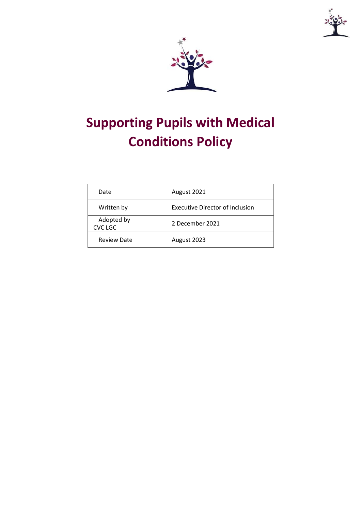

# **Supporting Pupils with Medical Conditions Policy**

| Date                         | August 2021                            |
|------------------------------|----------------------------------------|
| Written by                   | <b>Executive Director of Inclusion</b> |
| Adopted by<br><b>CVC LGC</b> | 2 December 2021                        |
| <b>Review Date</b>           | August 2023                            |

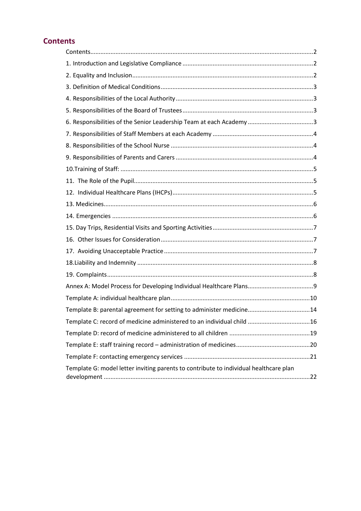# <span id="page-1-0"></span>**Contents**

| Template B: parental agreement for setting to administer medicine14                   |  |
|---------------------------------------------------------------------------------------|--|
| Template C: record of medicine administered to an individual child 16                 |  |
|                                                                                       |  |
|                                                                                       |  |
|                                                                                       |  |
| Template G: model letter inviting parents to contribute to individual healthcare plan |  |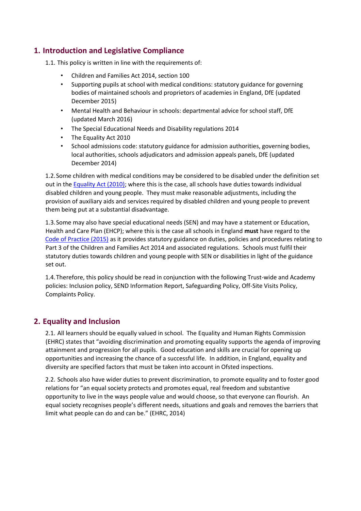#### <span id="page-2-0"></span>**1. Introduction and Legislative Compliance**

1.1. This policy is written in line with the requirements of:

- Children and Families Act 2014, section 100
- Supporting pupils at school with medical conditions: statutory guidance for governing bodies of maintained schools and proprietors of academies in England, DfE (updated December 2015)
- Mental Health and Behaviour in schools: departmental advice for school staff, DfE (updated March 2016)
- The Special Educational Needs and Disability regulations 2014
- The Equality Act 2010
- School admissions code: statutory guidance for admission authorities, governing bodies, local authorities, schools adjudicators and admission appeals panels, DfE (updated December 2014)

1.2.Some children with medical conditions may be considered to be disabled under the definition set out in the [Equality Act \(2010\);](http://www.legislation.gov.uk/ukpga/2010/15/pdfs/ukpga_20100015_en.pdf) where this is the case, all schools have duties towards individual disabled children and young people. They must make reasonable adjustments, including the provision of auxiliary aids and services required by disabled children and young people to prevent them being put at a substantial disadvantage.

1.3.Some may also have special educational needs (SEN) and may have a statement or Education, Health and Care Plan (EHCP); where this is the case all schools in England **must** have regard to the Code of Practice (2015) as it provides statutory guidance on duties, policies and procedures relating to Part 3 of the Children and Families Act 2014 and associated regulations. Schools must fulfil their statutory duties towards children and young people with SEN or disabilities in light of the guidance set out.

1.4.Therefore, this policy should be read in conjunction with the following Trust-wide and Academy policies: Inclusion policy, SEND Information Report, Safeguarding Policy, Off-Site Visits Policy, Complaints Policy.

#### <span id="page-2-1"></span>**2. Equality and Inclusion**

2.1. All learners should be equally valued in school. The Equality and Human Rights Commission (EHRC) states that "avoiding discrimination and promoting equality supports the agenda of improving attainment and progression for all pupils. Good education and skills are crucial for opening up opportunities and increasing the chance of a successful life. In addition, in England, equality and diversity are specified factors that must be taken into account in Ofsted inspections.

2.2. Schools also have wider duties to prevent discrimination, to promote equality and to foster good relations for "an equal society protects and promotes equal, real freedom and substantive opportunity to live in the ways people value and would choose, so that everyone can flourish. An equal society recognises people's different needs, situations and goals and removes the barriers that limit what people can do and can be." (EHRC, 2014)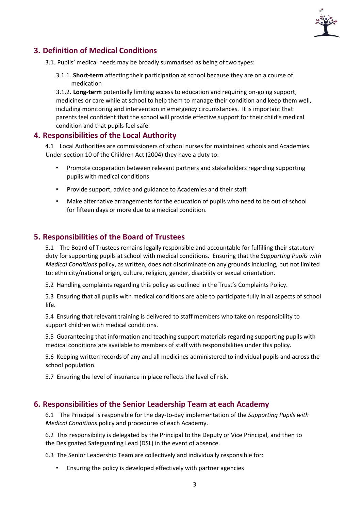

## <span id="page-3-0"></span>**3. Definition of Medical Conditions**

3.1. Pupils' medical needs may be broadly summarised as being of two types:

3.1.1. **Short-term** affecting their participation at school because they are on a course of medication

3.1.2. **Long-term** potentially limiting access to education and requiring on-going support, medicines or care while at school to help them to manage their condition and keep them well, including monitoring and intervention in emergency circumstances. It is important that parents feel confident that the school will provide effective support for their child's medical condition and that pupils feel safe.

#### <span id="page-3-1"></span>**4. Responsibilities of the Local Authority**

4.1 Local Authorities are commissioners of school nurses for maintained schools and Academies. Under section 10 of the Children Act (2004) they have a duty to:

- Promote cooperation between relevant partners and stakeholders regarding supporting pupils with medical conditions
- Provide support, advice and guidance to Academies and their staff
- Make alternative arrangements for the education of pupils who need to be out of school for fifteen days or more due to a medical condition.

#### <span id="page-3-2"></span>**5. Responsibilities of the Board of Trustees**

5.1 The Board of Trustees remains legally responsible and accountable for fulfilling their statutory duty for supporting pupils at school with medical conditions. Ensuring that the *Supporting Pupils with Medical Conditions* policy, as written, does not discriminate on any grounds including, but not limited to: ethnicity/national origin, culture, religion, gender, disability or sexual orientation.

5.2 Handling complaints regarding this policy as outlined in the Trust's Complaints Policy.

5.3 Ensuring that all pupils with medical conditions are able to participate fully in all aspects of school life.

5.4 Ensuring that relevant training is delivered to staff members who take on responsibility to support children with medical conditions.

5.5 Guaranteeing that information and teaching support materials regarding supporting pupils with medical conditions are available to members of staff with responsibilities under this policy.

5.6 Keeping written records of any and all medicines administered to individual pupils and across the school population.

5.7 Ensuring the level of insurance in place reflects the level of risk.

#### <span id="page-3-3"></span>**6. Responsibilities of the Senior Leadership Team at each Academy**

6.1 The Principal is responsible for the day-to-day implementation of the *Supporting Pupils with Medical Conditions* policy and procedures of each Academy.

6.2 This responsibility is delegated by the Principal to the Deputy or Vice Principal, and then to the Designated Safeguarding Lead (DSL) in the event of absence.

6.3 The Senior Leadership Team are collectively and individually responsible for:

• Ensuring the policy is developed effectively with partner agencies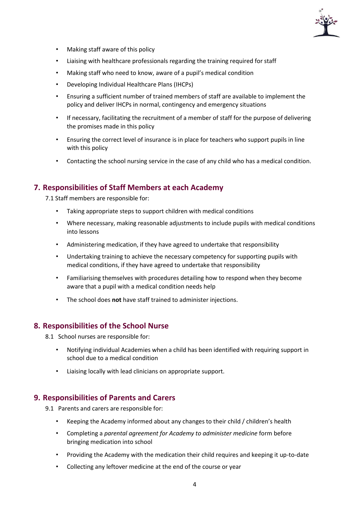

- Making staff aware of this policy
- Liaising with healthcare professionals regarding the training required for staff
- Making staff who need to know, aware of a pupil's medical condition
- Developing Individual Healthcare Plans (IHCPs)
- Ensuring a sufficient number of trained members of staff are available to implement the policy and deliver IHCPs in normal, contingency and emergency situations
- If necessary, facilitating the recruitment of a member of staff for the purpose of delivering the promises made in this policy
- Ensuring the correct level of insurance is in place for teachers who support pupils in line with this policy
- Contacting the school nursing service in the case of any child who has a medical condition.

#### <span id="page-4-0"></span>**7. Responsibilities of Staff Members at each Academy**

7.1 Staff members are responsible for:

- Taking appropriate steps to support children with medical conditions
- Where necessary, making reasonable adjustments to include pupils with medical conditions into lessons
- Administering medication, if they have agreed to undertake that responsibility
- Undertaking training to achieve the necessary competency for supporting pupils with medical conditions, if they have agreed to undertake that responsibility
- Familiarising themselves with procedures detailing how to respond when they become aware that a pupil with a medical condition needs help
- The school does **not** have staff trained to administer injections.

#### <span id="page-4-1"></span>**8. Responsibilities of the School Nurse**

8.1 School nurses are responsible for:

- Notifying individual Academies when a child has been identified with requiring support in school due to a medical condition
- Liaising locally with lead clinicians on appropriate support.

#### <span id="page-4-2"></span>**9. Responsibilities of Parents and Carers**

9.1 Parents and carers are responsible for:

- Keeping the Academy informed about any changes to their child / children's health
- Completing a *parental agreement for Academy to administer medicine* form before bringing medication into school
- Providing the Academy with the medication their child requires and keeping it up-to-date
- Collecting any leftover medicine at the end of the course or year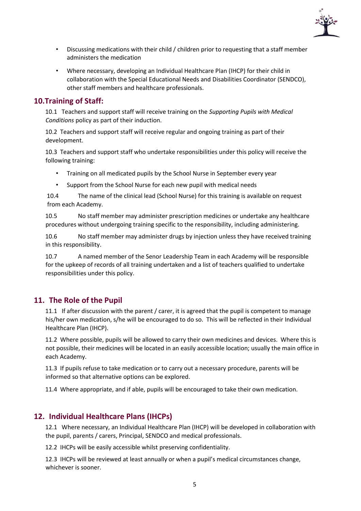

- Discussing medications with their child / children prior to requesting that a staff member administers the medication
- Where necessary, developing an Individual Healthcare Plan (IHCP) for their child in collaboration with the Special Educational Needs and Disabilities Coordinator (SENDCO), other staff members and healthcare professionals.

#### <span id="page-5-0"></span>**10.Training of Staff:**

10.1 Teachers and support staff will receive training on the *Supporting Pupils with Medical Conditions* policy as part of their induction.

10.2 Teachers and support staff will receive regular and ongoing training as part of their development.

10.3 Teachers and support staff who undertake responsibilities under this policy will receive the following training:

- Training on all medicated pupils by the School Nurse in September every year
- Support from the School Nurse for each new pupil with medical needs

10.4 The name of the clinical lead (School Nurse) for this training is available on request from each Academy.

10.5 No staff member may administer prescription medicines or undertake any healthcare procedures without undergoing training specific to the responsibility, including administering.

10.6 No staff member may administer drugs by injection unless they have received training in this responsibility.

10.7 A named member of the Senor Leadership Team in each Academy will be responsible for the upkeep of records of all training undertaken and a list of teachers qualified to undertake responsibilities under this policy.

#### <span id="page-5-1"></span>**11. The Role of the Pupil**

11.1 If after discussion with the parent / carer, it is agreed that the pupil is competent to manage his/her own medication, s/he will be encouraged to do so. This will be reflected in their Individual Healthcare Plan (IHCP).

11.2 Where possible, pupils will be allowed to carry their own medicines and devices. Where this is not possible, their medicines will be located in an easily accessible location; usually the main office in each Academy.

11.3 If pupils refuse to take medication or to carry out a necessary procedure, parents will be informed so that alternative options can be explored.

11.4 Where appropriate, and if able, pupils will be encouraged to take their own medication.

#### <span id="page-5-2"></span>**12. Individual Healthcare Plans (IHCPs)**

12.1 Where necessary, an Individual Healthcare Plan (IHCP) will be developed in collaboration with the pupil, parents / carers, Principal, SENDCO and medical professionals.

12.2 IHCPs will be easily accessible whilst preserving confidentiality.

12.3 IHCPs will be reviewed at least annually or when a pupil's medical circumstances change, whichever is sooner.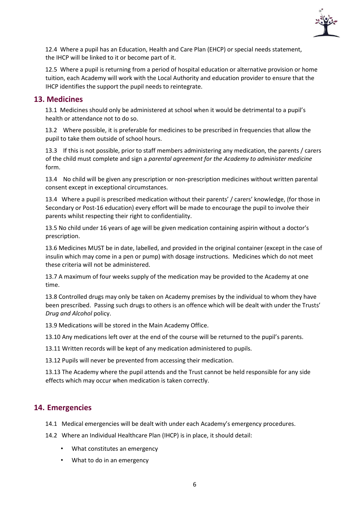

12.4 Where a pupil has an Education, Health and Care Plan (EHCP) or special needs statement, the IHCP will be linked to it or become part of it.

12.5 Where a pupil is returning from a period of hospital education or alternative provision or home tuition, each Academy will work with the Local Authority and education provider to ensure that the IHCP identifies the support the pupil needs to reintegrate.

#### <span id="page-6-0"></span>**13. Medicines**

13.1 Medicines should only be administered at school when it would be detrimental to a pupil's health or attendance not to do so.

13.2 Where possible, it is preferable for medicines to be prescribed in frequencies that allow the pupil to take them outside of school hours.

13.3 If this is not possible, prior to staff members administering any medication, the parents / carers of the child must complete and sign a *parental agreement for the Academy to administer medicine* form.

13.4 No child will be given any prescription or non-prescription medicines without written parental consent except in exceptional circumstances.

13.4 Where a pupil is prescribed medication without their parents' / carers' knowledge, (for those in Secondary or Post-16 education) every effort will be made to encourage the pupil to involve their parents whilst respecting their right to confidentiality.

13.5 No child under 16 years of age will be given medication containing aspirin without a doctor's prescription.

13.6 Medicines MUST be in date, labelled, and provided in the original container (except in the case of insulin which may come in a pen or pump) with dosage instructions. Medicines which do not meet these criteria will not be administered.

13.7 A maximum of four weeks supply of the medication may be provided to the Academy at one time.

13.8 Controlled drugs may only be taken on Academy premises by the individual to whom they have been prescribed. Passing such drugs to others is an offence which will be dealt with under the Trusts' *Drug and Alcohol* policy.

13.9 Medications will be stored in the Main Academy Office.

13.10 Any medications left over at the end of the course will be returned to the pupil's parents.

13.11 Written records will be kept of any medication administered to pupils.

13.12 Pupils will never be prevented from accessing their medication.

13.13 The Academy where the pupil attends and the Trust cannot be held responsible for any side effects which may occur when medication is taken correctly.

#### <span id="page-6-1"></span>**14. Emergencies**

- 14.1 Medical emergencies will be dealt with under each Academy's emergency procedures.
- 14.2 Where an Individual Healthcare Plan (IHCP) is in place, it should detail:
	- What constitutes an emergency
	- What to do in an emergency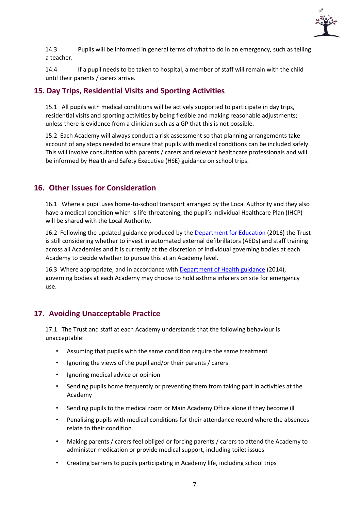

14.3 Pupils will be informed in general terms of what to do in an emergency, such as telling a teacher.

14.4 If a pupil needs to be taken to hospital, a member of staff will remain with the child until their parents / carers arrive.

#### <span id="page-7-0"></span>**15. Day Trips, Residential Visits and Sporting Activities**

15.1 All pupils with medical conditions will be actively supported to participate in day trips, residential visits and sporting activities by being flexible and making reasonable adjustments; unless there is evidence from a clinician such as a GP that this is not possible.

15.2 Each Academy will always conduct a risk assessment so that planning arrangements take account of any steps needed to ensure that pupils with medical conditions can be included safely. This will involve consultation with parents / carers and relevant healthcare professionals and will be informed by Health and Safety Executive (HSE) guidance on school trips.

#### <span id="page-7-1"></span>**16. Other Issues for Consideration**

16.1 Where a pupil uses home-to-school transport arranged by the Local Authority and they also have a medical condition which is life-threatening, the pupil's Individual Healthcare Plan (IHCP) will be shared with the Local Authority.

16.2 Following the updated guidance produced by the [Department for Education](https://www.gov.uk/government/publications/automated-external-defibrillators-aeds-in-schools) [\(](https://www.gov.uk/government/publications/automated-external-defibrillators-aeds-in-schools)2016) the Trust is still considering whether to invest in automated external defibrillators (AEDs) and staff training across all Academies and it is currently at the discretion of individual governing bodies at each Academy to decide whether to pursue this at an Academy level.

16.3 Where appropriate, and in accordance with [Department of Health guidance](https://www.gov.uk/government/publications/emergency-asthma-inhalers-for-use-in-schools) (2014), governing bodies at each Academy may choose to hold asthma inhalers on site for emergency use.

# <span id="page-7-2"></span>**17. Avoiding Unacceptable Practice**

17.1 The Trust and staff at each Academy understands that the following behaviour is unacceptable:

- Assuming that pupils with the same condition require the same treatment
- Ignoring the views of the pupil and/or their parents / carers
- Ignoring medical advice or opinion
- Sending pupils home frequently or preventing them from taking part in activities at the Academy
- Sending pupils to the medical room or Main Academy Office alone if they become ill
- Penalising pupils with medical conditions for their attendance record where the absences relate to their condition
- Making parents / carers feel obliged or forcing parents / carers to attend the Academy to administer medication or provide medical support, including toilet issues
- Creating barriers to pupils participating in Academy life, including school trips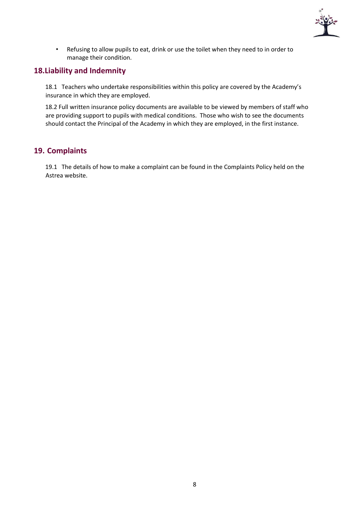

• Refusing to allow pupils to eat, drink or use the toilet when they need to in order to manage their condition.

#### <span id="page-8-0"></span>**18.Liability and Indemnity**

18.1 Teachers who undertake responsibilities within this policy are covered by the Academy's insurance in which they are employed.

18.2 Full written insurance policy documents are available to be viewed by members of staff who are providing support to pupils with medical conditions. Those who wish to see the documents should contact the Principal of the Academy in which they are employed, in the first instance.

#### <span id="page-8-1"></span>**19. Complaints**

19.1 The details of how to make a complaint can be found in the Complaints Policy held on the Astrea website.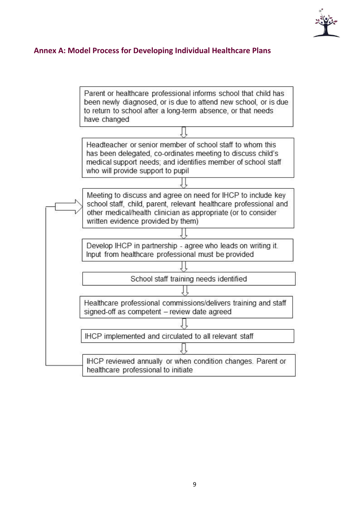

## <span id="page-9-0"></span>**Annex A: Model Process for Developing Individual Healthcare Plans**

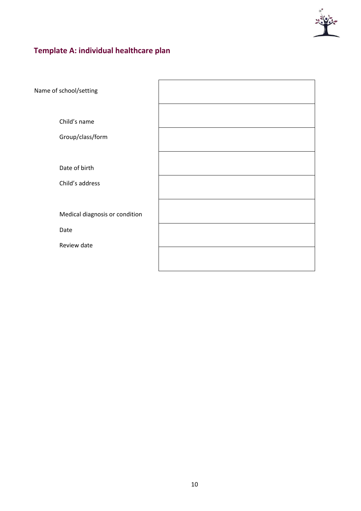

# <span id="page-10-0"></span>**Template A: individual healthcare plan**

| Name of school/setting                                |  |
|-------------------------------------------------------|--|
| Child's name<br>Group/class/form                      |  |
| Date of birth<br>Child's address                      |  |
| Medical diagnosis or condition<br>Date<br>Review date |  |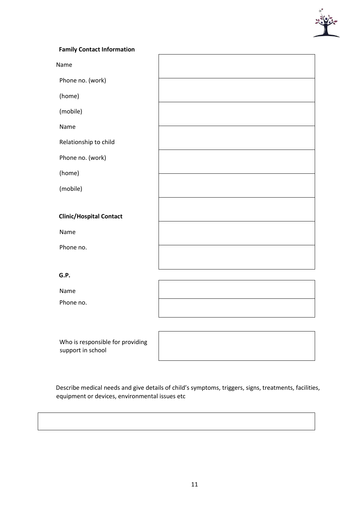

#### **Family Contact Information**

Name

Phone no. (work)

(home)

(mobile)

Name

Relationship to child

Phone no. (work)

(home)

(mobile)

**Clinic/Hospital Contact** 

Name

Phone no.

**G.P.** 

Name

Phone no.

Who is responsible for providing support in school

Describe medical needs and give details of child's symptoms, triggers, signs, treatments, facilities, equipment or devices, environmental issues etc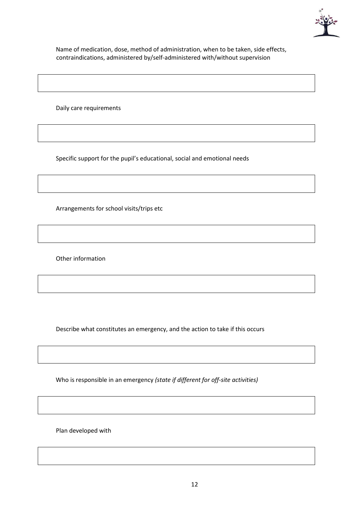

Name of medication, dose, method of administration, when to be taken, side effects, contraindications, administered by/self-administered with/without supervision

Daily care requirements

Specific support for the pupil's educational, social and emotional needs

Arrangements for school visits/trips etc

Other information

Describe what constitutes an emergency, and the action to take if this occurs

Who is responsible in an emergency *(state if different for off-site activities)* 

Plan developed with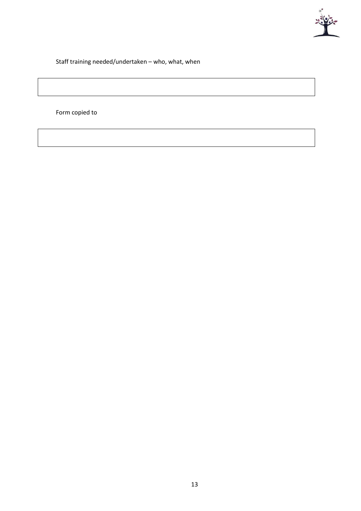

Staff training needed/undertaken – who, what, when

Form copied to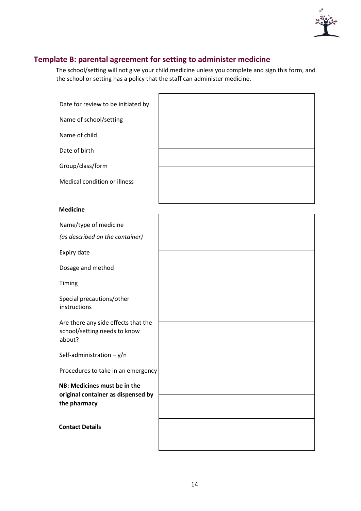

# <span id="page-14-0"></span>**Template B: parental agreement for setting to administer medicine**

The school/setting will not give your child medicine unless you complete and sign this form, and the school or setting has a policy that the staff can administer medicine.

| Date for review to be initiated by                                                 |  |
|------------------------------------------------------------------------------------|--|
| Name of school/setting                                                             |  |
| Name of child                                                                      |  |
| Date of birth                                                                      |  |
| Group/class/form                                                                   |  |
| Medical condition or illness                                                       |  |
|                                                                                    |  |
| <b>Medicine</b>                                                                    |  |
| Name/type of medicine                                                              |  |
| (as described on the container)                                                    |  |
| Expiry date                                                                        |  |
| Dosage and method                                                                  |  |
| Timing                                                                             |  |
| Special precautions/other<br>instructions                                          |  |
| Are there any side effects that the<br>school/setting needs to know<br>about?      |  |
| Self-administration $- y/n$                                                        |  |
| Procedures to take in an emergency                                                 |  |
| NB: Medicines must be in the<br>original container as dispensed by<br>the pharmacy |  |
| <b>Contact Details</b>                                                             |  |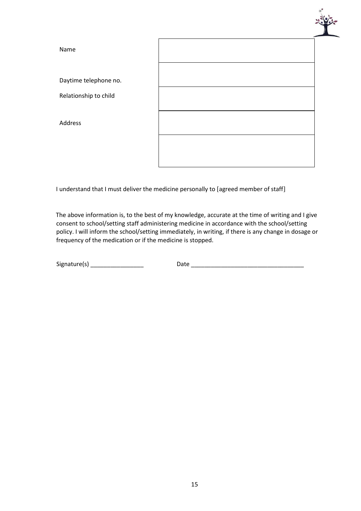

I understand that I must deliver the medicine personally to [agreed member of staff]

The above information is, to the best of my knowledge, accurate at the time of writing and I give consent to school/setting staff administering medicine in accordance with the school/setting policy. I will inform the school/setting immediately, in writing, if there is any change in dosage or frequency of the medication or if the medicine is stopped.

 $Signature(s)$   $\qquad \qquad$   $Date$   $\qquad \qquad$   $\qquad$   $Date$   $\qquad \qquad$   $\qquad$   $\qquad$   $\qquad$   $\qquad$   $\qquad$   $\qquad$   $\qquad$   $\qquad$   $\qquad$   $\qquad$   $\qquad$   $\qquad$   $\qquad$   $\qquad$   $\qquad$   $\qquad$   $\qquad$   $\qquad$   $\qquad$   $\qquad$   $\qquad$   $\qquad$   $\qquad$   $\qquad$   $\qquad$   $\qquad$   $\qquad$   $\qquad$   $\qquad$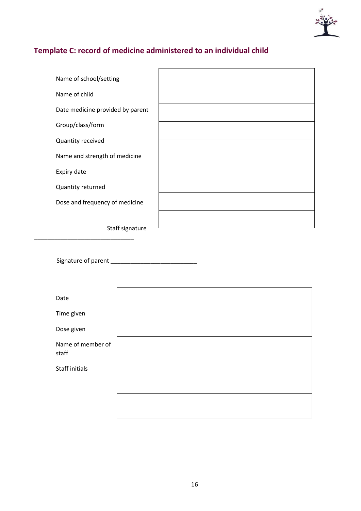

# <span id="page-16-0"></span>**Template C: record of medicine administered to an individual child**

| Name of school/setting           |  |
|----------------------------------|--|
| Name of child                    |  |
| Date medicine provided by parent |  |
| Group/class/form                 |  |
| Quantity received                |  |
| Name and strength of medicine    |  |
| Expiry date                      |  |
| Quantity returned                |  |
| Dose and frequency of medicine   |  |
|                                  |  |
| Staff signature                  |  |

Signature of parent \_\_\_\_\_\_\_\_\_\_\_\_\_\_\_\_\_\_\_\_\_\_\_\_\_\_

\_\_\_\_\_\_\_\_\_\_\_\_\_\_\_\_\_\_\_\_\_\_\_\_\_\_\_\_\_\_

| Date                       |  |  |
|----------------------------|--|--|
| Time given                 |  |  |
| Dose given                 |  |  |
| Name of member of<br>staff |  |  |
| Staff initials             |  |  |
|                            |  |  |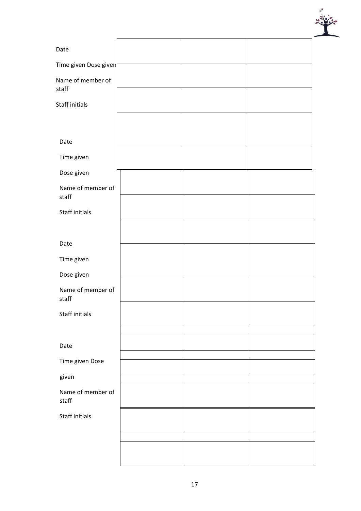

| Date                       |  |  |
|----------------------------|--|--|
| Time given Dose given      |  |  |
| Name of member of<br>staff |  |  |
| Staff initials             |  |  |
|                            |  |  |
| Date                       |  |  |
| Time given                 |  |  |
| Dose given                 |  |  |
| Name of member of<br>staff |  |  |
| Staff initials             |  |  |
|                            |  |  |
| Date                       |  |  |
| Time given                 |  |  |
| Dose given                 |  |  |
| Name of member of<br>staff |  |  |
| Staff initials             |  |  |
|                            |  |  |
| Date                       |  |  |
| Time given Dose            |  |  |
| given                      |  |  |
| Name of member of<br>staff |  |  |
| Staff initials             |  |  |
|                            |  |  |
|                            |  |  |
|                            |  |  |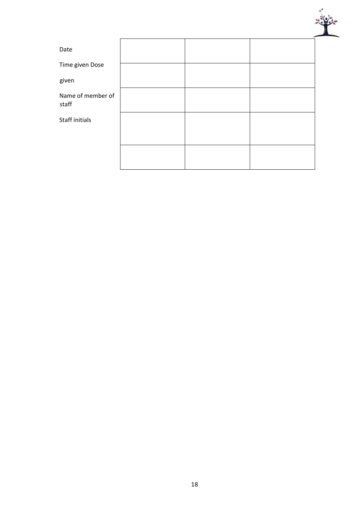

| Date                       |  |  |
|----------------------------|--|--|
| Time given Dose            |  |  |
| given                      |  |  |
| Name of member of<br>staff |  |  |
| Staff initials             |  |  |
|                            |  |  |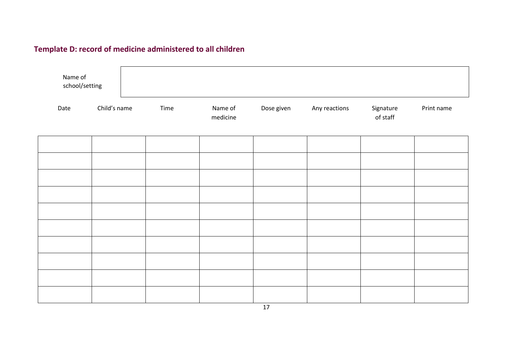# **Template D: record of medicine administered to all children**

<span id="page-19-0"></span>

| Name of<br>school/setting |              |      |                     |            |               |                       |            |
|---------------------------|--------------|------|---------------------|------------|---------------|-----------------------|------------|
| Date                      | Child's name | Time | Name of<br>medicine | Dose given | Any reactions | Signature<br>of staff | Print name |
|                           |              |      |                     |            |               |                       |            |
|                           |              |      |                     |            |               |                       |            |
|                           |              |      |                     |            |               |                       |            |
|                           |              |      |                     |            |               |                       |            |
|                           |              |      |                     |            |               |                       |            |
|                           |              |      |                     |            |               |                       |            |
|                           |              |      |                     |            |               |                       |            |
|                           |              |      |                     |            |               |                       |            |

17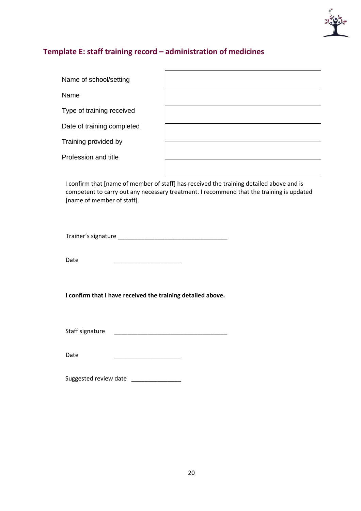

# <span id="page-20-0"></span>**Template E: staff training record – administration of medicines**

| Name of school/setting     |  |
|----------------------------|--|
| Name                       |  |
| Type of training received  |  |
| Date of training completed |  |
| Training provided by       |  |
| Profession and title       |  |
|                            |  |

I confirm that [name of member of staff] has received the training detailed above and is competent to carry out any necessary treatment. I recommend that the training is updated [name of member of staff].

Trainer's signature \_\_\_\_\_\_\_\_\_\_\_\_\_\_\_\_\_\_\_\_\_\_\_\_\_\_\_\_\_\_\_\_\_

Date \_\_\_\_\_\_\_\_\_\_\_\_\_\_\_\_\_\_\_\_

**I confirm that I have received the training detailed above.** 

Staff signature \_\_\_\_\_\_\_\_\_\_\_\_\_\_\_\_\_\_\_\_\_\_\_\_\_\_\_\_\_\_\_\_\_\_

Date \_\_\_\_\_\_\_\_\_\_\_\_\_\_\_\_\_\_\_\_

Suggested review date \_\_\_\_\_\_\_\_\_\_\_\_\_\_\_\_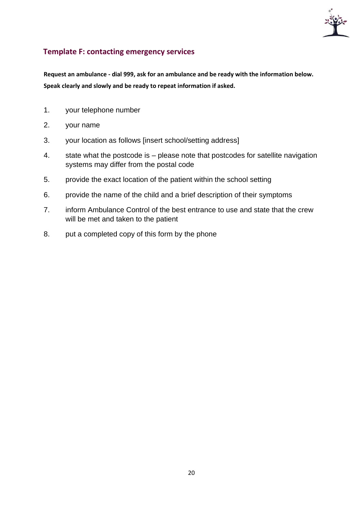

# <span id="page-21-0"></span>**Template F: contacting emergency services**

**Request an ambulance - dial 999, ask for an ambulance and be ready with the information below. Speak clearly and slowly and be ready to repeat information if asked.** 

- 1. your telephone number
- 2. your name
- 3. your location as follows [insert school/setting address]
- 4. state what the postcode is please note that postcodes for satellite navigation systems may differ from the postal code
- 5. provide the exact location of the patient within the school setting
- 6. provide the name of the child and a brief description of their symptoms
- 7. inform Ambulance Control of the best entrance to use and state that the crew will be met and taken to the patient
- 8. put a completed copy of this form by the phone